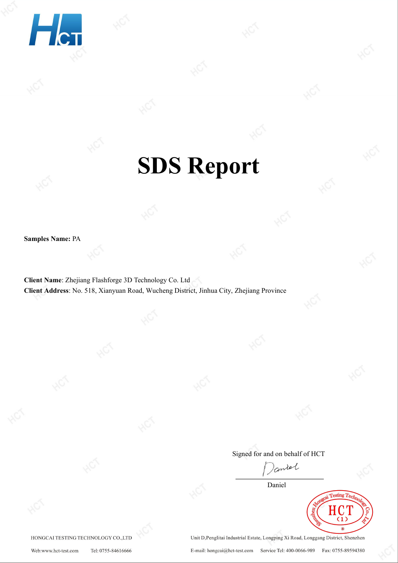

# **SDS Report**

**Samples Name:** PA

**Client Name**: Zhejiang Flashforge 3D Technology Co. Ltd **Client Address**: No. 518, Xianyuan Road, Wucheng District, Jinhua City, Zhejiang Province

Signed for and on behalf of HCT

Coniel

Daniel



HONGCAI TESTING TECHNOLOGY CO.,LTD

Unit D, Penglitai Industrial Estate, Longping Xi Road, Longgang District, Shenzhen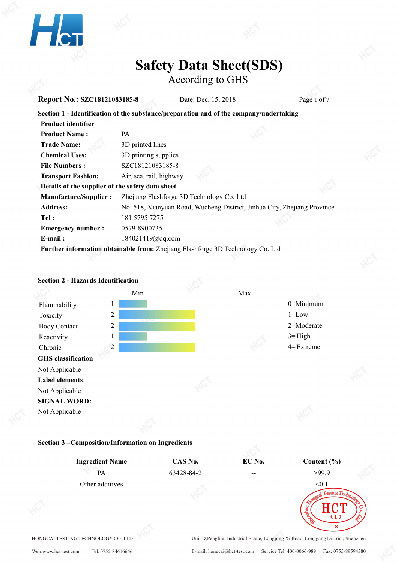

According to GHS

| <b>Report No.: SZC18121083185-8</b>                                                    |                                           | Date: Dec. 15, 2018 | Page 1 of 7                                                              |  |
|----------------------------------------------------------------------------------------|-------------------------------------------|---------------------|--------------------------------------------------------------------------|--|
| Section 1 - Identification of the substance/preparation and of the company/undertaking |                                           |                     |                                                                          |  |
| <b>Product identifier</b>                                                              |                                           |                     |                                                                          |  |
| <b>Product Name:</b>                                                                   | <b>PA</b>                                 |                     |                                                                          |  |
| <b>Trade Name:</b>                                                                     | 3D printed lines                          |                     |                                                                          |  |
| <b>Chemical Uses:</b>                                                                  | 3D printing supplies                      |                     |                                                                          |  |
| <b>File Numbers:</b>                                                                   | SZC18121083185-8                          |                     |                                                                          |  |
| <b>Transport Fashion:</b>                                                              | Air, sea, rail, highway                   |                     |                                                                          |  |
| Details of the supplier of the safety data sheet                                       |                                           |                     |                                                                          |  |
| <b>Manufacture/Supplier:</b>                                                           | Zhejiang Flashforge 3D Technology Co. Ltd |                     |                                                                          |  |
| <b>Address:</b>                                                                        |                                           |                     | No. 518, Xianyuan Road, Wucheng District, Jinhua City, Zhejiang Province |  |
| Tel:                                                                                   | 181 5795 7275                             |                     |                                                                          |  |
| <b>Emergency number:</b>                                                               | 0579-89007351                             |                     |                                                                          |  |
| $E$ -mail:                                                                             | 184021419@qq.com                          |                     |                                                                          |  |
| Further information obtainable from: Zhejiang Flashforge 3D Technology Co. Ltd         |                                           |                     |                                                                          |  |





Web:www.hct-test.com Tel: 0755-84616666

Fax: 0755-89594380 E-mail: hongcai@hct-test.com Service Tel: 400-0066-989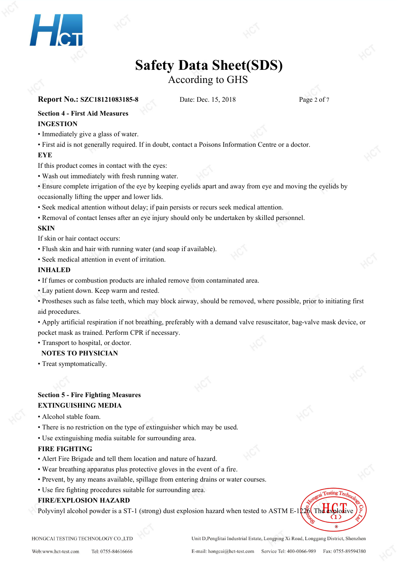

According to GHS

## **Report No.: SZC18121083185-8** Date: Dec. 15, 2018 Page 2 of 7

**Section 4 - First Aid Measures**

### **INGESTION**

• Immediately give a glass of water.

• First aid is not generally required. If in doubt, contact a Poisons Information Centre or a doctor.

### **EYE**

If this product comes in contact with the eyes:

- Wash out immediately with fresh running water.
- Ensure complete irrigation of the eye by keeping eyelids apart and away from eye and moving the eyelids by occasionally lifting the upper and lower lids.
- Seek medical attention without delay; if pain persists or recurs seek medical attention.
- Removal of contact lenses after an eye injury should only be undertaken by skilled personnel.

## **SKIN**

If skin or hair contact occurs:

- Flush skin and hair with running water (and soap if available).
- Seek medical attention in event of irritation.

### **INHALED**

- If fumes or combustion products are inhaled remove from contaminated area.
- Lay patient down. Keep warm and rested.

• Prostheses such as false teeth, which may block airway, should be removed, where possible, prior to initiating first aid procedures.

• Apply artificial respiration if not breathing, preferably with a demand valve resuscitator, bag-valve mask device, or pocket mask as trained. Perform CPR if necessary.

• Transport to hospital, or doctor.

## **NOTES TO PHYSICIAN**

• Treat symptomatically.

## **Section 5 - Fire Fighting Measures EXTINGUISHING MEDIA**

- Alcohol stable foam.
- There is no restriction on the type of extinguisher which may be used.
- Use extinguishing media suitable for surrounding area.

### **FIRE FIGHTING**

- Alert Fire Brigade and tell them location and nature of hazard.
- Wear breathing apparatus plus protective gloves in the event of a fire.
- Prevent, by any means available, spillage from entering drains or water courses.
- Use fire fighting procedures suitable for surrounding area.

### **FIRE/EXPLOSION HAZARD**

Polyvinyl alcohol powder is a ST-1 (strong) dust explosion hazard when tested to ASTM E-1226. The



HONGCAI TESTING TECHNOLOGY CO., LTD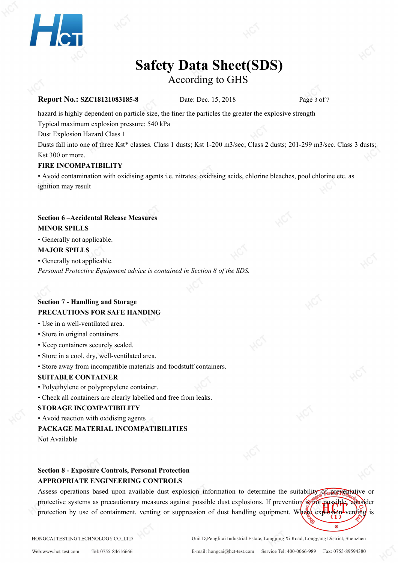

According to GHS

#### **Report No.: SZC18121083185-8** Date: Dec. 15, 2018 Page 3 of 7

hazard is highly dependent on particle size, the finer the particles the greater the explosive strength

Typical maximum explosion pressure: 540 kPa

Dust Explosion Hazard Class 1

Dusts fall into one of three Kst\* classes. Class 1 dusts; Kst 1-200 m3/sec; Class 2 dusts; 201-299 m3/sec. Class 3 dusts; Kst 300 or more.

#### **FIRE INCOMPATIBILITY**

• Avoid contamination with oxidising agents i.e. nitrates, oxidising acids, chlorine bleaches, pool chlorine etc. as ignition may result

## **Section 6 –Accidental Release Measures**

**MINOR SPILLS**

• Generally not applicable.

#### **MAJOR SPILLS**

• Generally not applicable.

*Personal Protective Equipment advice is contained in Section 8 of the SDS.*

## **Section 7 - Handling and Storage PRECAUTIONS FOR SAFE HANDING**

- Use in a well-ventilated area.
- Store in original containers.
- Keep containers securely sealed.
- Store in a cool, dry, well-ventilated area.
- Store away from incompatible materials and foodstuff containers.

#### **SUITABLE CONTAINER**

- Polyethylene or polypropylene container.
- Check all containers are clearly labelled and free from leaks.

#### **STORAGE INCOMPATIBILITY**

• Avoid reaction with oxidising agents

#### **PACKAGE MATERIAL INCOMPATIBILITIES**

Not Available

## **Section 8 - Exposure Controls, Personal Protection APPROPRIATE ENGINEERING CONTROLS**

Assess operations based upon available dust explosion information to determine the suitability of preventative or protective systems as precautionary measures against possible dust explosions. If prevention is not possible, consider protection by use of containment, venting or suppression of dust handling equipment. Where  $\exp\left(-\frac{1}{2} \pi \right)$  venting is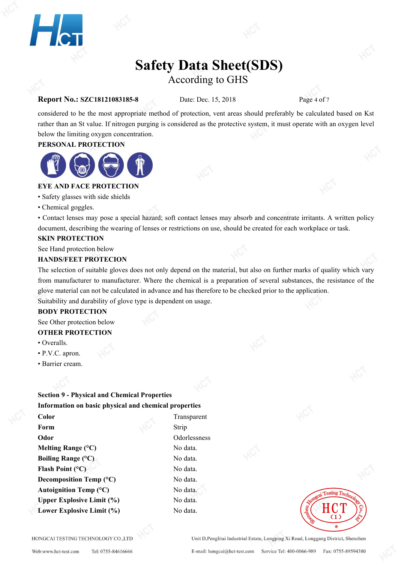

## **Safety Data Sheet(SDS)** According to GHS

#### **Report No.: SZC18121083185-8** Date: Dec. 15, 2018 Page 4 of 7

considered to be the most appropriate method of protection, vent areas should preferably be calculated based on Kst rather than an St value. If nitrogen purging is considered as the protective system, it must operate with an oxygen level below the limiting oxygen concentration.

#### **PERSONAL PROTECTION**



### **EYE AND FACE PROTECTION**

• Safety glasses with side shields

• Chemical goggles.

• Contact lenses may pose a special hazard; soft contact lenses may absorb and concentrate irritants. A written policy document, describing the wearing of lenses or restrictions on use, should be created for each workplace or task.

#### **SKIN PROTECTION**

See Hand protection below

#### **HANDS/FEET PROTECION**

The selection of suitable gloves does not only depend on the material, but also on further marks of quality which vary from manufacturer to manufacturer. Where the chemical is a preparation of several substances, the resistance of the glove material can not be calculated in advance and has therefore to be checked prior to the application. Suitability and durability of glove type is dependent on usage.

#### **BODY PROTECTION**

See Other protection below

#### **OTHER PROTECTION**

- Overalls.
- P.V.C. apron.
- Barrier cream.

## **Section 9 - Physical and Chemical Properties Information on basic physical and chemical properties**

**Color** Transparent **Form** Strip Strip **Odor** Odorlessness **Melting Range** (°C) No data. **Boiling Range** (°C) No data. **Flash Point** (°C) No data. **Decomposition Temp (°C)** No data. **Autoignition Temp (°C)** No data. **Upper Explosive Limit**  $(\%)$  **No data. Lower Explosive Limit**  $(\%)$  **No data.** 

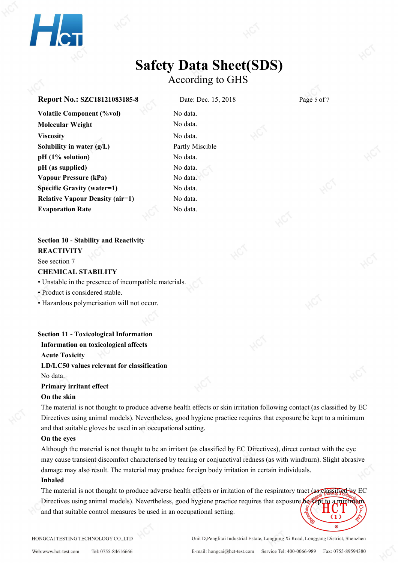

## **Safety Data Sheet(SDS)** According to GHS

#### **Report No.: SZC18121083185-8** Date: Dec. 15, 2018 Page 5 of 7

**Volatile Component (%vol)** No data. **Molecular Weight** No data. **Viscosity** No data. **Solubility in water (g/L)** Partly Miscible **pH (1% solution)** No data. **pH (as supplied)** No data. **Vapour Pressure (kPa)** No data. **Specific Gravity (water=1)** No data. **Relative Vapour Density (air=1)** No data. **Evaporation Rate** No data.

#### **Section 10 - Stability and Reactivity**

**REACTIVITY**

See section 7

#### **CHEMICAL STABILITY**

• Unstable in the presence of incompatible materials.

• Product is considered stable.

• Hazardous polymerisation will not occur.

#### **Section 11 - Toxicological Information**

**Information on toxicological affects**

**Acute Toxicity**

#### **LD/LC50 values relevant for classification**

No data.

#### **Primary irritant effect**

#### **On the skin**

The material is not thought to produce adverse health effects orskin irritation following contact (as classified by EC Directives using animal models). Nevertheless, good hygiene practice requires that exposure be kept to a minimum and that suitable gloves be used in an occupational setting.

#### **On the eyes**

Although the material is not thought to be an irritant (as classified by EC Directives), direct contact with the eye may cause transient discomfort characterised by tearing or conjunctival redness (as with windburn). Slight abrasive damage may also result. The material may produce foreign body irritation in certain individuals.

#### **Inhaled**

The material is not thought to produce adverse health effects or irritation of the respiratory tract (as classified by EC Directives using animal models). Nevertheless, good hygiene practice requires that exposure be kept to a minimum and that suitable control measures be used in an occupational setting.

HONGCAI TESTING TECHNOLOGY CO.,LTD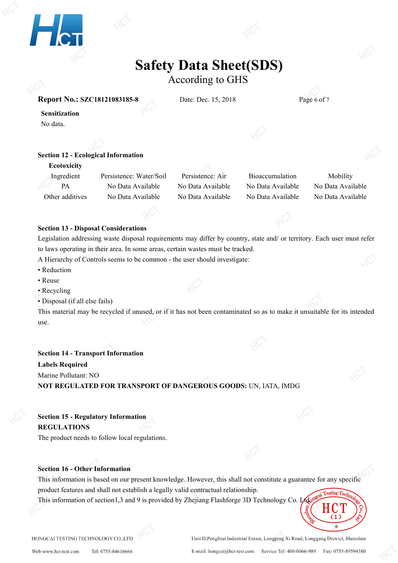

According to GHS

#### **Report No.: SZC18121083185-8** Date: Dec. 15, 2018 Page 6 of 7

**Sensitization**

No data.

#### **Section 12 - Ecological Information**

#### **Ecotoxicity**

Ingredient Persistence: Water/Soil Persistence: Air Bioaccumulation Mobility PA No Data Available No Data Available No Data Available No Data Available Other additives No Data Available No Data Available No Data Available No Data Available

#### **Section 13 - Disposal Considerations**

Legislation addressing waste disposal requirements may differ by country, state and/ or territory. Each user mustrefer to laws operating in their area. In some areas, certain wastes must be tracked.

A Hierarchy of Controls seems to be common - the user should investigate:

- Reduction
- Reuse
- Recycling
- Disposal (if all else fails)

This material may be recycled if unused, or if it has not been contaminated so as to make it unsuitable for its intended use.

## **Section 14 - Transport Information Labels Required** Marine Pollutant: NO **NOT REGULATED FOR TRANSPORT OF DANGEROUS GOODS:**UN, IATA, IMDG

**Section 15 - Regulatory Information REGULATIONS**

The product needs to follow local regulations.

#### **Section 16 - Other Information**

This information is based on our present knowledge. However, this shall not constitute a guarantee for any specific product features and shall not establish a legally valid contractual relationship.

This information of section1,3 and 9 is provided by Zhejiang Flashforge 3D Technology Co. Ltd.



Web:www.hct-test.com Tel: 0755-84616666